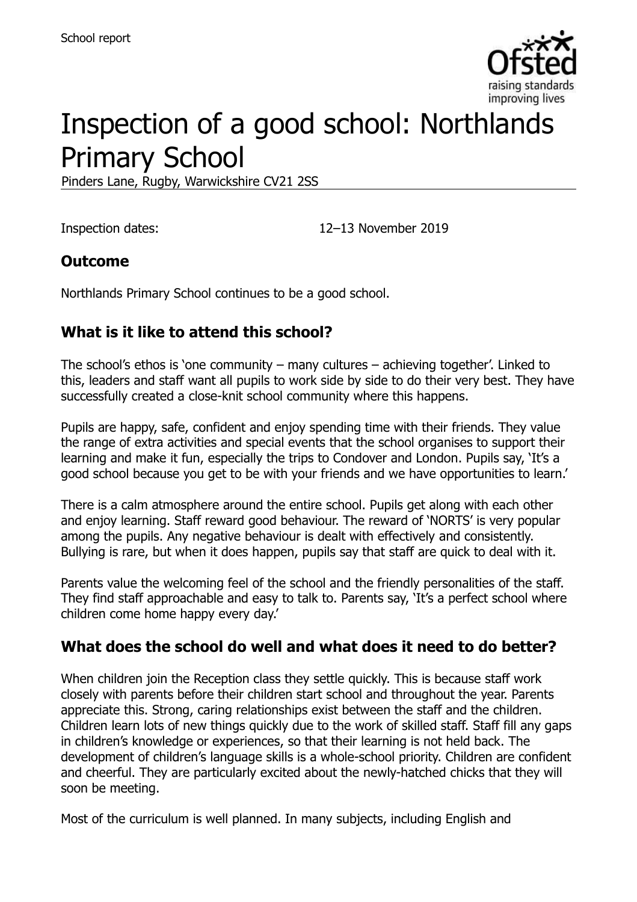

# Inspection of a good school: Northlands Primary School

Pinders Lane, Rugby, Warwickshire CV21 2SS

Inspection dates: 12–13 November 2019

# **Outcome**

Northlands Primary School continues to be a good school.

# **What is it like to attend this school?**

The school's ethos is 'one community – many cultures – achieving together'. Linked to this, leaders and staff want all pupils to work side by side to do their very best. They have successfully created a close-knit school community where this happens.

Pupils are happy, safe, confident and enjoy spending time with their friends. They value the range of extra activities and special events that the school organises to support their learning and make it fun, especially the trips to Condover and London. Pupils say, 'It's a good school because you get to be with your friends and we have opportunities to learn.'

There is a calm atmosphere around the entire school. Pupils get along with each other and enjoy learning. Staff reward good behaviour. The reward of 'NORTS' is very popular among the pupils. Any negative behaviour is dealt with effectively and consistently. Bullying is rare, but when it does happen, pupils say that staff are quick to deal with it.

Parents value the welcoming feel of the school and the friendly personalities of the staff. They find staff approachable and easy to talk to. Parents say, 'It's a perfect school where children come home happy every day.'

#### **What does the school do well and what does it need to do better?**

When children join the Reception class they settle quickly. This is because staff work closely with parents before their children start school and throughout the year. Parents appreciate this. Strong, caring relationships exist between the staff and the children. Children learn lots of new things quickly due to the work of skilled staff. Staff fill any gaps in children's knowledge or experiences, so that their learning is not held back. The development of children's language skills is a whole-school priority. Children are confident and cheerful. They are particularly excited about the newly-hatched chicks that they will soon be meeting.

Most of the curriculum is well planned. In many subjects, including English and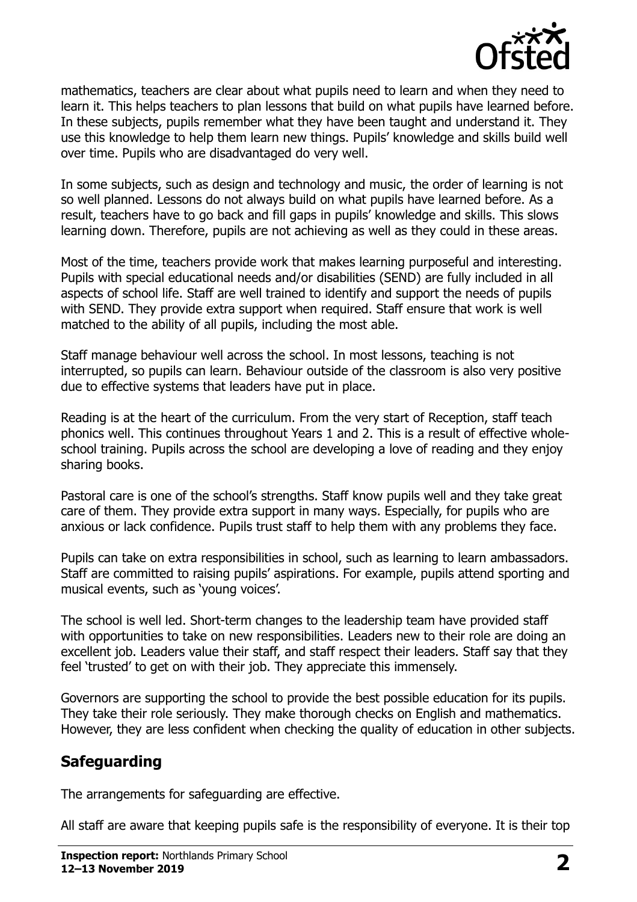

mathematics, teachers are clear about what pupils need to learn and when they need to learn it. This helps teachers to plan lessons that build on what pupils have learned before. In these subjects, pupils remember what they have been taught and understand it. They use this knowledge to help them learn new things. Pupils' knowledge and skills build well over time. Pupils who are disadvantaged do very well.

In some subjects, such as design and technology and music, the order of learning is not so well planned. Lessons do not always build on what pupils have learned before. As a result, teachers have to go back and fill gaps in pupils' knowledge and skills. This slows learning down. Therefore, pupils are not achieving as well as they could in these areas.

Most of the time, teachers provide work that makes learning purposeful and interesting. Pupils with special educational needs and/or disabilities (SEND) are fully included in all aspects of school life. Staff are well trained to identify and support the needs of pupils with SEND. They provide extra support when required. Staff ensure that work is well matched to the ability of all pupils, including the most able.

Staff manage behaviour well across the school. In most lessons, teaching is not interrupted, so pupils can learn. Behaviour outside of the classroom is also very positive due to effective systems that leaders have put in place.

Reading is at the heart of the curriculum. From the very start of Reception, staff teach phonics well. This continues throughout Years 1 and 2. This is a result of effective wholeschool training. Pupils across the school are developing a love of reading and they enjoy sharing books.

Pastoral care is one of the school's strengths. Staff know pupils well and they take great care of them. They provide extra support in many ways. Especially, for pupils who are anxious or lack confidence. Pupils trust staff to help them with any problems they face.

Pupils can take on extra responsibilities in school, such as learning to learn ambassadors. Staff are committed to raising pupils' aspirations. For example, pupils attend sporting and musical events, such as 'young voices'.

The school is well led. Short-term changes to the leadership team have provided staff with opportunities to take on new responsibilities. Leaders new to their role are doing an excellent job. Leaders value their staff, and staff respect their leaders. Staff say that they feel 'trusted' to get on with their job. They appreciate this immensely.

Governors are supporting the school to provide the best possible education for its pupils. They take their role seriously. They make thorough checks on English and mathematics. However, they are less confident when checking the quality of education in other subjects.

# **Safeguarding**

The arrangements for safeguarding are effective.

All staff are aware that keeping pupils safe is the responsibility of everyone. It is their top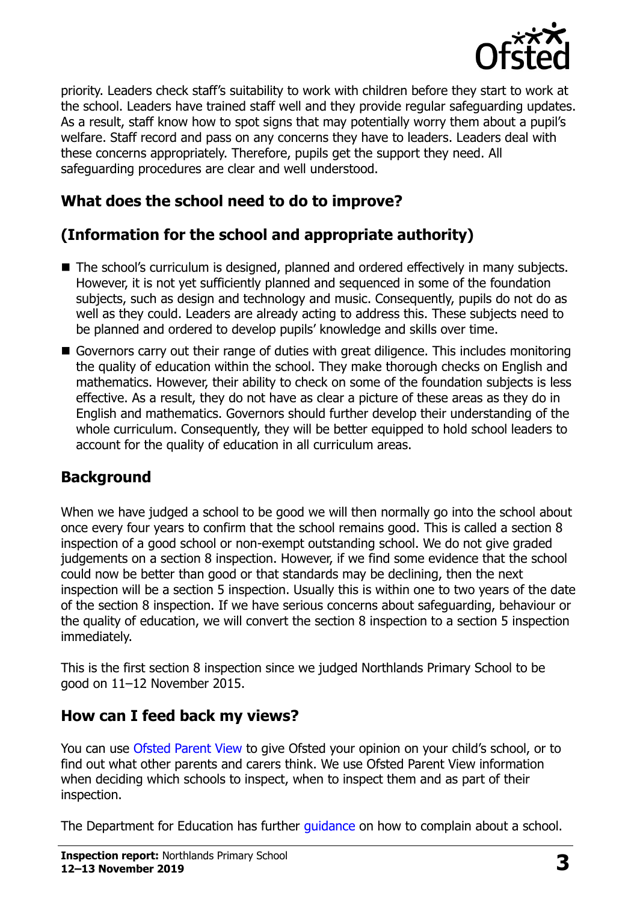

priority. Leaders check staff's suitability to work with children before they start to work at the school. Leaders have trained staff well and they provide regular safeguarding updates. As a result, staff know how to spot signs that may potentially worry them about a pupil's welfare. Staff record and pass on any concerns they have to leaders. Leaders deal with these concerns appropriately. Therefore, pupils get the support they need. All safeguarding procedures are clear and well understood.

# **What does the school need to do to improve?**

# **(Information for the school and appropriate authority)**

- The school's curriculum is designed, planned and ordered effectively in many subjects. However, it is not yet sufficiently planned and sequenced in some of the foundation subjects, such as design and technology and music. Consequently, pupils do not do as well as they could. Leaders are already acting to address this. These subjects need to be planned and ordered to develop pupils' knowledge and skills over time.
- Governors carry out their range of duties with great diligence. This includes monitoring the quality of education within the school. They make thorough checks on English and mathematics. However, their ability to check on some of the foundation subjects is less effective. As a result, they do not have as clear a picture of these areas as they do in English and mathematics. Governors should further develop their understanding of the whole curriculum. Consequently, they will be better equipped to hold school leaders to account for the quality of education in all curriculum areas.

#### **Background**

When we have judged a school to be good we will then normally go into the school about once every four years to confirm that the school remains good. This is called a section 8 inspection of a good school or non-exempt outstanding school. We do not give graded judgements on a section 8 inspection. However, if we find some evidence that the school could now be better than good or that standards may be declining, then the next inspection will be a section 5 inspection. Usually this is within one to two years of the date of the section 8 inspection. If we have serious concerns about safeguarding, behaviour or the quality of education, we will convert the section 8 inspection to a section 5 inspection immediately.

This is the first section 8 inspection since we judged Northlands Primary School to be good on 11–12 November 2015.

#### **How can I feed back my views?**

You can use [Ofsted Parent View](https://parentview.ofsted.gov.uk/) to give Ofsted your opinion on your child's school, or to find out what other parents and carers think. We use Ofsted Parent View information when deciding which schools to inspect, when to inspect them and as part of their inspection.

The Department for Education has further *guidance* on how to complain about a school.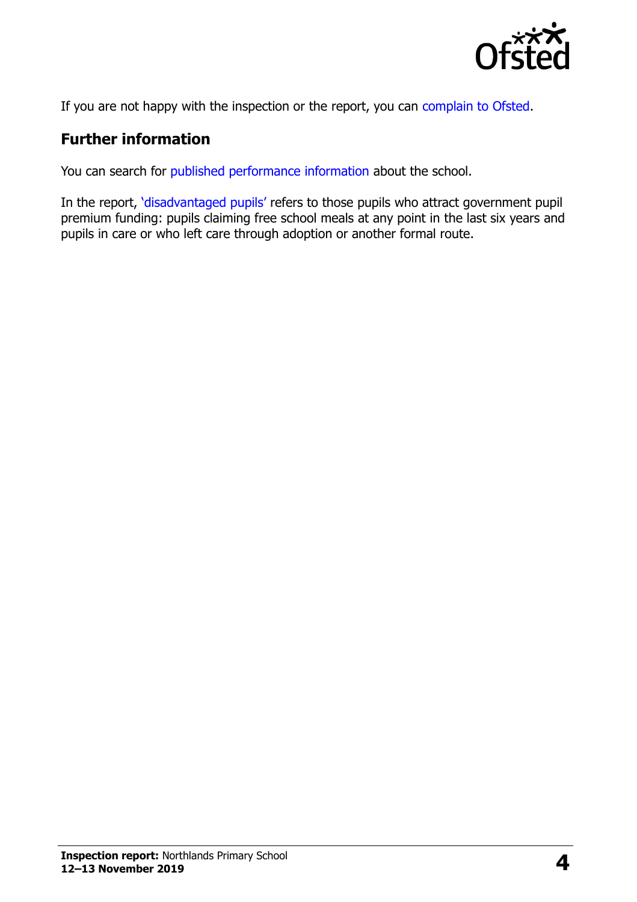

If you are not happy with the inspection or the report, you can [complain to Ofsted.](https://www.gov.uk/complain-ofsted-report)

### **Further information**

You can search for [published performance information](http://www.compare-school-performance.service.gov.uk/) about the school.

In the report, '[disadvantaged pupils](http://www.gov.uk/guidance/pupil-premium-information-for-schools-and-alternative-provision-settings)' refers to those pupils who attract government pupil premium funding: pupils claiming free school meals at any point in the last six years and pupils in care or who left care through adoption or another formal route.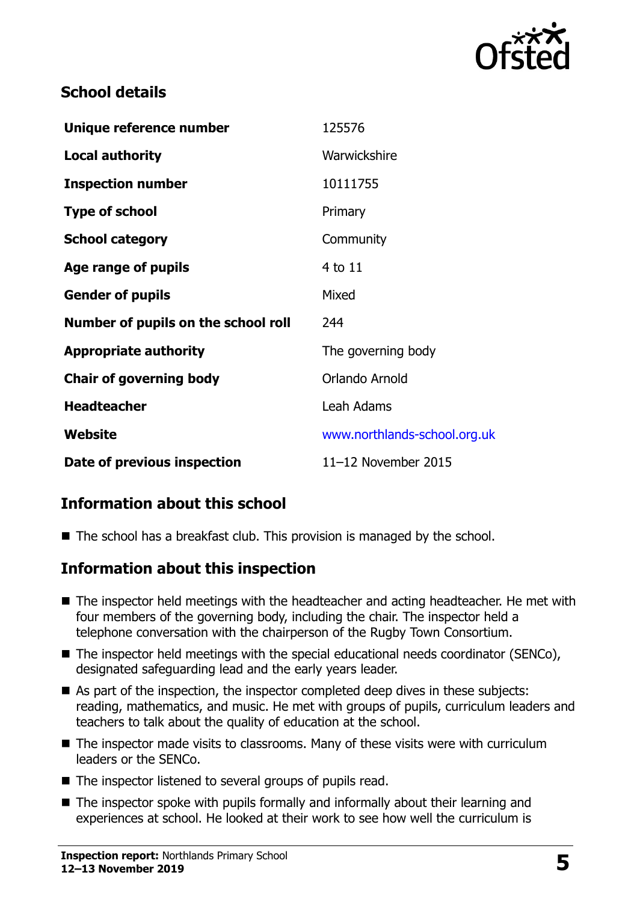

### **School details**

| Unique reference number             | 125576                       |
|-------------------------------------|------------------------------|
| <b>Local authority</b>              | Warwickshire                 |
| <b>Inspection number</b>            | 10111755                     |
| <b>Type of school</b>               | Primary                      |
| <b>School category</b>              | Community                    |
| Age range of pupils                 | 4 to 11                      |
| <b>Gender of pupils</b>             | Mixed                        |
| Number of pupils on the school roll | 244                          |
| <b>Appropriate authority</b>        | The governing body           |
| <b>Chair of governing body</b>      | Orlando Arnold               |
| <b>Headteacher</b>                  | Leah Adams                   |
| Website                             | www.northlands-school.org.uk |
| Date of previous inspection         | 11-12 November 2015          |

# **Information about this school**

■ The school has a breakfast club. This provision is managed by the school.

#### **Information about this inspection**

- The inspector held meetings with the headteacher and acting headteacher. He met with four members of the governing body, including the chair. The inspector held a telephone conversation with the chairperson of the Rugby Town Consortium.
- The inspector held meetings with the special educational needs coordinator (SENCo), designated safeguarding lead and the early years leader.
- As part of the inspection, the inspector completed deep dives in these subjects: reading, mathematics, and music. He met with groups of pupils, curriculum leaders and teachers to talk about the quality of education at the school.
- The inspector made visits to classrooms. Many of these visits were with curriculum leaders or the SENCo.
- The inspector listened to several groups of pupils read.
- The inspector spoke with pupils formally and informally about their learning and experiences at school. He looked at their work to see how well the curriculum is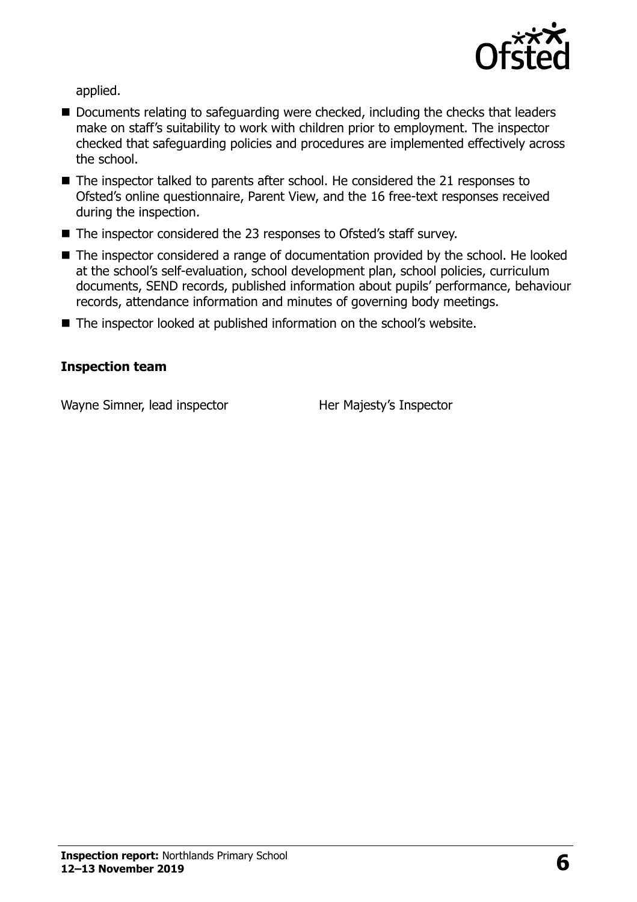

applied.

- Documents relating to safeguarding were checked, including the checks that leaders make on staff's suitability to work with children prior to employment. The inspector checked that safeguarding policies and procedures are implemented effectively across the school.
- The inspector talked to parents after school. He considered the 21 responses to Ofsted's online questionnaire, Parent View, and the 16 free-text responses received during the inspection.
- The inspector considered the 23 responses to Ofsted's staff survey.
- The inspector considered a range of documentation provided by the school. He looked at the school's self-evaluation, school development plan, school policies, curriculum documents, SEND records, published information about pupils' performance, behaviour records, attendance information and minutes of governing body meetings.
- The inspector looked at published information on the school's website.

#### **Inspection team**

Wayne Simner, lead inspector **Her Majesty's Inspector**